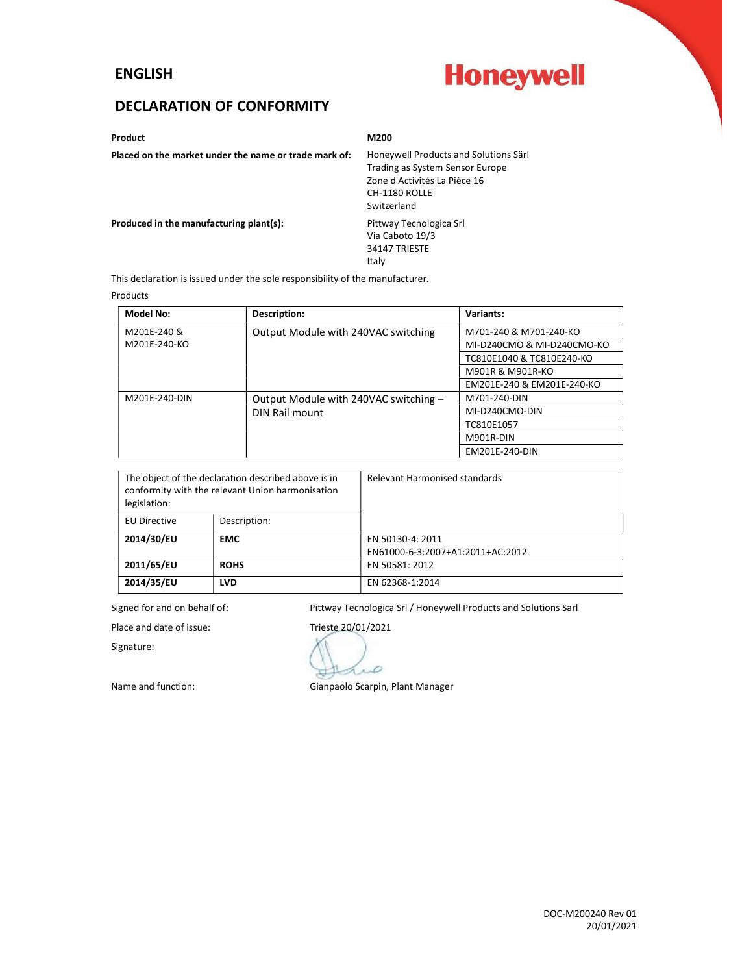#### ENGLISH

# **Honeywell**

## DECLARATION OF CONFORMITY

Product **M200** 

Placed on the market under the name or trade mark of: Honeywell Products and Solutions Särl

Trading as System Sensor Europe Zone d'Activités La Pièce 16 CH-1180 ROLLE Switzerland

Produced in the manufacturing plant(s): Pittway Tecnologica Srl

Via Caboto 19/3 34147 TRIESTE Italy

This declaration is issued under the sole responsibility of the manufacturer.

#### Products

| <b>Model No:</b> | Description:                          | Variants:                  |
|------------------|---------------------------------------|----------------------------|
| M201E-240 &      | Output Module with 240VAC switching   | M701-240 & M701-240-KO     |
| M201E-240-KO     |                                       | MI-D240CMO & MI-D240CMO-KO |
|                  |                                       | TC810E1040 & TC810E240-KO  |
|                  |                                       | M901R & M901R-KO           |
|                  |                                       | EM201E-240 & EM201E-240-KO |
| M201E-240-DIN    | Output Module with 240VAC switching - | M701-240-DIN               |
|                  | DIN Rail mount                        | MI-D240CMO-DIN             |
|                  |                                       | TC810E1057                 |
|                  |                                       | M901R-DIN                  |
|                  |                                       | EM201E-240-DIN             |

| The object of the declaration described above is in<br>conformity with the relevant Union harmonisation<br>legislation: |              | Relevant Harmonised standards    |
|-------------------------------------------------------------------------------------------------------------------------|--------------|----------------------------------|
| <b>EU Directive</b>                                                                                                     | Description: |                                  |
| 2014/30/EU                                                                                                              | <b>EMC</b>   | EN 50130-4: 2011                 |
|                                                                                                                         |              | EN61000-6-3:2007+A1:2011+AC:2012 |
| 2011/65/EU                                                                                                              | <b>ROHS</b>  | EN 50581: 2012                   |
| 2014/35/EU                                                                                                              | <b>LVD</b>   | EN 62368-1:2014                  |

Signed for and on behalf of: Pittway Tecnologica Srl / Honeywell Products and Solutions Sarl

Signature:

Place and date of issue: Trieste 20/01/2021 D

Name and function: Gianpaolo Scarpin, Plant Manager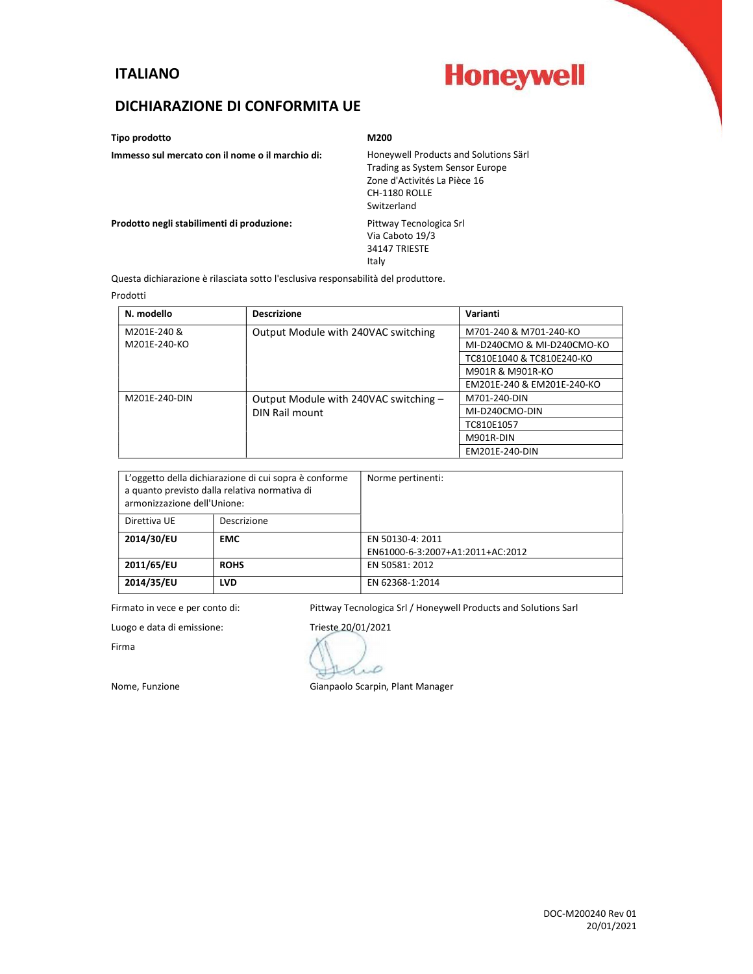### ITALIANO

# **Honeywell**

### DICHIARAZIONE DI CONFORMITA UE

Tipo prodotto M200

Immesso sul mercato con il nome o il marchio di: Honeywell Products and Solutions Särl Trading as System Sensor Europe Zone d'Activités La Pièce 16 CH-1180 ROLLE Switzerland Prodotto negli stabilimenti di produzione: Pittway Tecnologica Srl Via Caboto 19/3 34147 TRIESTE Italy

Questa dichiarazione è rilasciata sotto l'esclusiva responsabilità del produttore.

#### Prodotti

| N. modello    | <b>Descrizione</b>                    | Varianti                   |
|---------------|---------------------------------------|----------------------------|
| M201E-240 &   | Output Module with 240VAC switching   | M701-240 & M701-240-KO     |
| M201E-240-KO  |                                       | MI-D240CMO & MI-D240CMO-KO |
|               |                                       | TC810E1040 & TC810E240-KO  |
|               |                                       | M901R & M901R-KO           |
|               |                                       | EM201E-240 & EM201E-240-KO |
| M201E-240-DIN | Output Module with 240VAC switching - | M701-240-DIN               |
|               | DIN Rail mount                        | MI-D240CMO-DIN             |
|               |                                       | TC810E1057                 |
|               |                                       | M901R-DIN                  |
|               |                                       | EM201E-240-DIN             |

| L'oggetto della dichiarazione di cui sopra è conforme<br>a quanto previsto dalla relativa normativa di<br>armonizzazione dell'Unione: |             | Norme pertinenti:                |
|---------------------------------------------------------------------------------------------------------------------------------------|-------------|----------------------------------|
| Direttiva UE                                                                                                                          | Descrizione |                                  |
| 2014/30/EU                                                                                                                            | <b>EMC</b>  | EN 50130-4: 2011                 |
|                                                                                                                                       |             | EN61000-6-3:2007+A1:2011+AC:2012 |
| 2011/65/EU                                                                                                                            | <b>ROHS</b> | EN 50581: 2012                   |
| 2014/35/EU                                                                                                                            | <b>LVD</b>  | EN 62368-1:2014                  |

Firmato in vece e per conto di: Pittway Tecnologica Srl / Honeywell Products and Solutions Sarl

Firma

Luogo e data di emissione: Trieste 20/01/2021 Ď

Nome, Funzione Gianpaolo Scarpin, Plant Manager

DOC-M200240 Rev 01 20/01/2021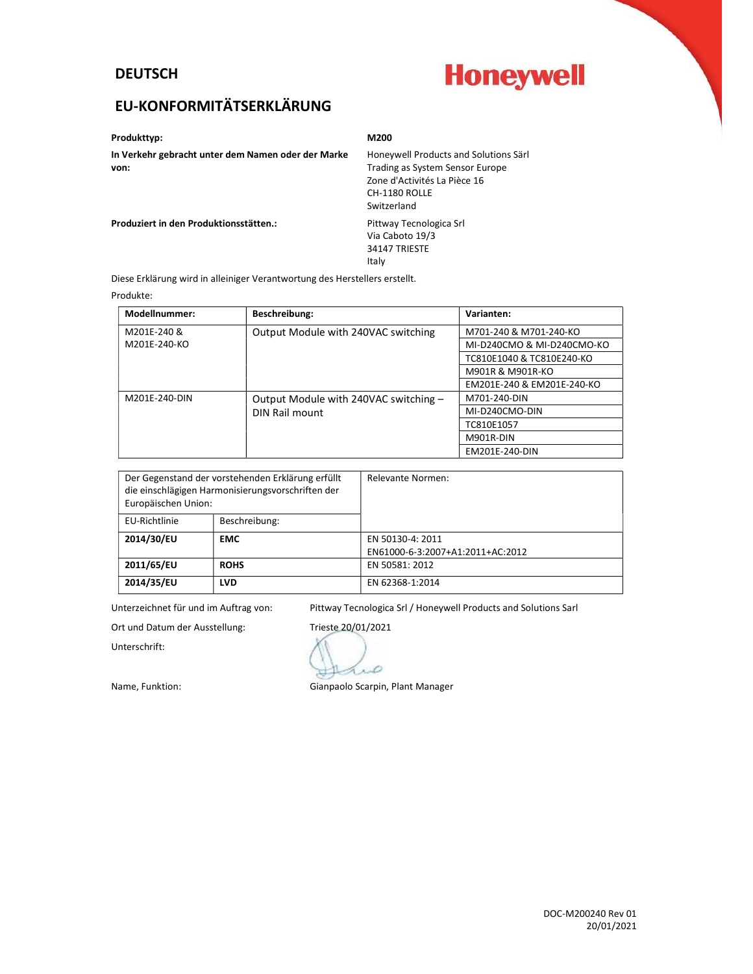## **DEUTSCH**

# **Honeywell**

# EU-KONFORMITÄTSERKLÄRUNG

#### Produkttyp: M200

In Verkehr gebracht unter dem Namen oder der Marke Honeywell Products and Solutions Särl<br>
von: Frading as System Sensor Europe

Trading as System Sensor Europe Zone d'Activités La Pièce 16 CH-1180 ROLLE Switzerland

Produziert in den Produktionsstätten.: Pittway Tecnologica Srl

Via Caboto 19/3 34147 TRIESTE Italy

Diese Erklärung wird in alleiniger Verantwortung des Herstellers erstellt.

#### Produkte:

| <b>Modellnummer:</b> | Beschreibung:                         | Varianten:                 |
|----------------------|---------------------------------------|----------------------------|
| M201E-240 &          | Output Module with 240VAC switching   | M701-240 & M701-240-KO     |
| M201E-240-KO         |                                       | MI-D240CMO & MI-D240CMO-KO |
|                      |                                       | TC810E1040 & TC810E240-KO  |
|                      |                                       | M901R & M901R-KO           |
|                      |                                       | EM201E-240 & EM201E-240-KO |
| M201E-240-DIN        | Output Module with 240VAC switching - | M701-240-DIN               |
|                      | DIN Rail mount                        | MI-D240CMO-DIN             |
|                      |                                       | TC810E1057                 |
|                      |                                       | M901R-DIN                  |
|                      |                                       | EM201E-240-DIN             |

| Der Gegenstand der vorstehenden Erklärung erfüllt<br>die einschlägigen Harmonisierungsvorschriften der<br>Europäischen Union: |               | Relevante Normen:                |
|-------------------------------------------------------------------------------------------------------------------------------|---------------|----------------------------------|
| EU-Richtlinie                                                                                                                 | Beschreibung: |                                  |
| 2014/30/EU                                                                                                                    | <b>EMC</b>    | EN 50130-4: 2011                 |
|                                                                                                                               |               | EN61000-6-3:2007+A1:2011+AC:2012 |
| 2011/65/EU                                                                                                                    | <b>ROHS</b>   | EN 50581: 2012                   |
| 2014/35/EU                                                                                                                    | <b>LVD</b>    | EN 62368-1:2014                  |

Unterzeichnet für und im Auftrag von: Pittway Tecnologica Srl / Honeywell Products and Solutions Sarl

Unterschrift:

Ort und Datum der Ausstellung: Trieste 20/01/2021  $\mathcal{L}$ 

Name, Funktion: Gianpaolo Scarpin, Plant Manager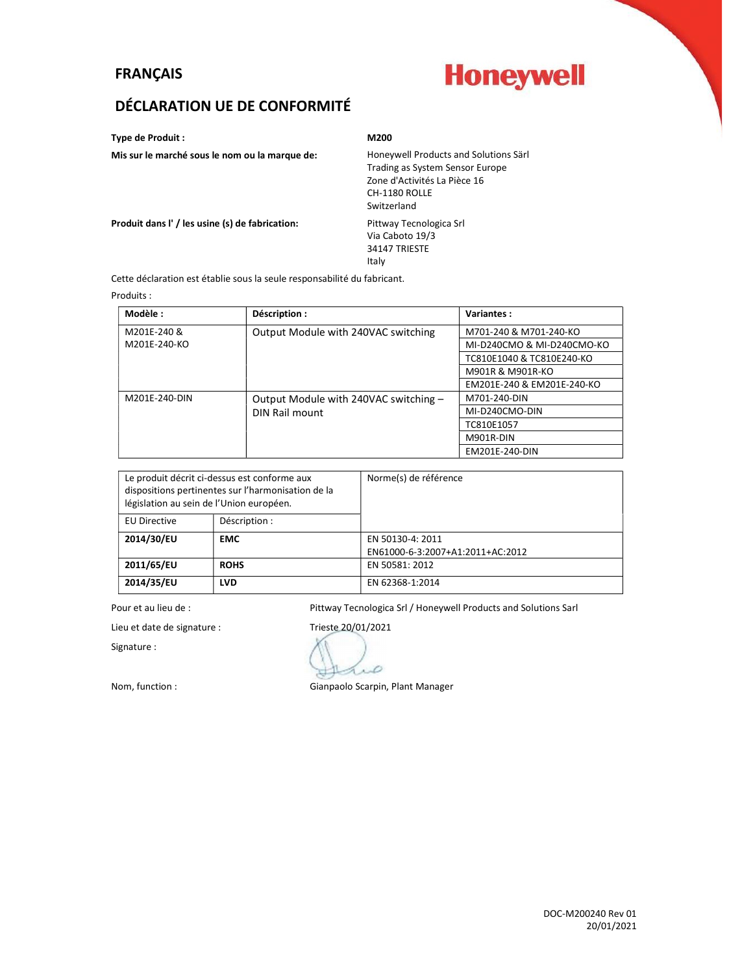### FRANÇAIS

# **Honeywell**

## DÉCLARATION UE DE CONFORMITÉ

Type de Produit : M200

Italy

Via Caboto 19/3 34147 TRIESTE

Mis sur le marché sous le nom ou la marque de: Honeywell Products and Solutions Särl

Trading as System Sensor Europe Zone d'Activités La Pièce 16 CH-1180 ROLLE Switzerland

Produit dans l' / les usine (s) de fabrication: Pittway Tecnologica Srl

Cette déclaration est établie sous la seule responsabilité du fabricant.

Produits :

| Modèle :      | Déscription :                         | <b>Variantes:</b>          |
|---------------|---------------------------------------|----------------------------|
| M201E-240 &   | Output Module with 240VAC switching   | M701-240 & M701-240-KO     |
| M201E-240-KO  |                                       | MI-D240CMO & MI-D240CMO-KO |
|               |                                       | TC810E1040 & TC810E240-KO  |
|               |                                       | M901R & M901R-KO           |
|               |                                       | EM201E-240 & EM201E-240-KO |
| M201E-240-DIN | Output Module with 240VAC switching - | M701-240-DIN               |
|               | DIN Rail mount                        | MI-D240CMO-DIN             |
|               |                                       | TC810E1057                 |
|               |                                       | M901R-DIN                  |
|               |                                       | EM201E-240-DIN             |

| Le produit décrit ci-dessus est conforme aux<br>dispositions pertinentes sur l'harmonisation de la<br>législation au sein de l'Union européen. |               | Norme(s) de référence            |
|------------------------------------------------------------------------------------------------------------------------------------------------|---------------|----------------------------------|
| <b>EU Directive</b>                                                                                                                            | Déscription : |                                  |
| 2014/30/EU                                                                                                                                     | <b>EMC</b>    | EN 50130-4: 2011                 |
|                                                                                                                                                |               | EN61000-6-3:2007+A1:2011+AC:2012 |
| 2011/65/EU                                                                                                                                     | <b>ROHS</b>   | EN 50581: 2012                   |
| 2014/35/EU                                                                                                                                     | <b>LVD</b>    | EN 62368-1:2014                  |

Pour et au lieu de : <br>Pittway Tecnologica Srl / Honeywell Products and Solutions Sarl

Lieu et date de signature : Trieste 20/01/2021

Signature :

D

Nom, function : Gianpaolo Scarpin, Plant Manager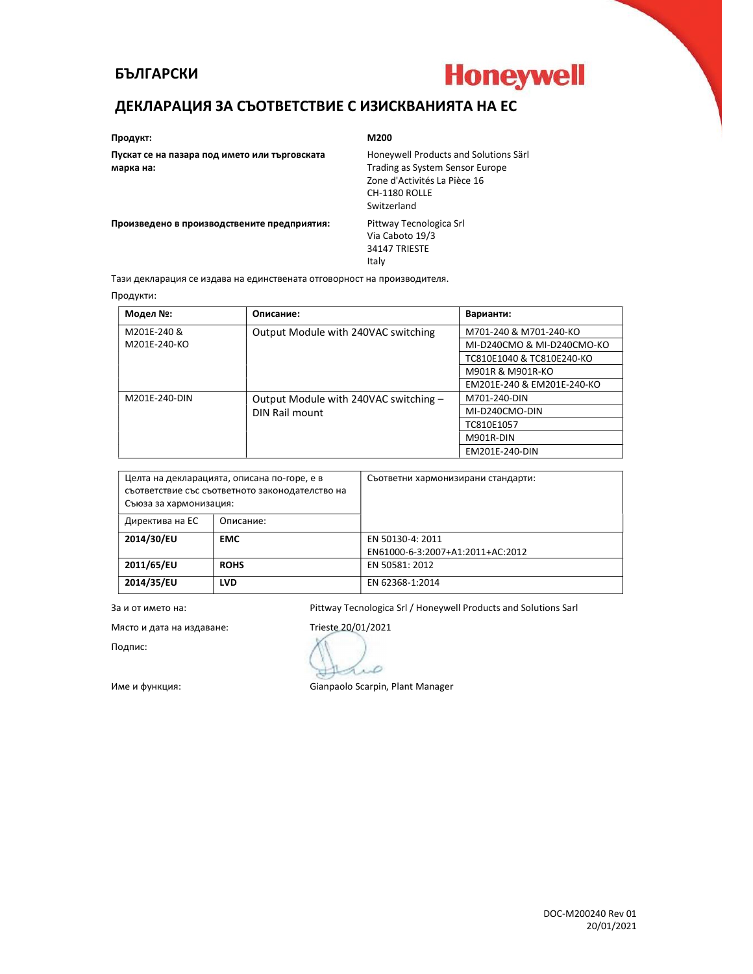#### БЪЛГАРСКИ



## ДЕКЛАРАЦИЯ ЗА СЪОТВЕТСТВИЕ С ИЗИСКВАНИЯТА НА EC

#### Продукт: M200

Пускат се на пазара под името или търговската марка на:

Honeywell Products and Solutions Särl Trading as System Sensor Europe Zone d'Activités La Pièce 16 CH-1180 ROLLE Switzerland

Произведено в производствените предприятия: Pittway Tecnologica Srl

Via Caboto 19/3 34147 TRIESTE Italy

Тази декларация се издава на единствената отговорност на производителя.

#### Продукти:

| Модел №:      | Описание:                             | Варианти:                  |
|---------------|---------------------------------------|----------------------------|
| M201E-240 &   | Output Module with 240VAC switching   | M701-240 & M701-240-KO     |
| M201E-240-KO  |                                       | MI-D240CMO & MI-D240CMO-KO |
|               |                                       | TC810E1040 & TC810E240-KO  |
|               |                                       | M901R & M901R-KO           |
|               |                                       | EM201E-240 & EM201E-240-KO |
| M201E-240-DIN | Output Module with 240VAC switching - | M701-240-DIN               |
|               | DIN Rail mount                        | MI-D240CMO-DIN             |
|               |                                       | TC810E1057                 |
|               |                                       | M901R-DIN                  |
|               |                                       | EM201E-240-DIN             |

| Целта на декларацията, описана по-горе, е в<br>съответствие със съответното законодателство на<br>Съюза за хармонизация: |             | Съответни хармонизирани стандарти: |
|--------------------------------------------------------------------------------------------------------------------------|-------------|------------------------------------|
| Директива на ЕС                                                                                                          | Описание:   |                                    |
| 2014/30/EU                                                                                                               | <b>EMC</b>  | EN 50130-4: 2011                   |
|                                                                                                                          |             | EN61000-6-3:2007+A1:2011+AC:2012   |
| 2011/65/EU                                                                                                               | <b>ROHS</b> | EN 50581: 2012                     |
| 2014/35/EU                                                                                                               | <b>LVD</b>  | EN 62368-1:2014                    |

За и от името на: Pittway Tecnologica Srl / Honeywell Products and Solutions Sarl

Място и дата на издаване: Trieste 20/01/2021

Подпис:

Ď

Име и функция: Gianpaolo Scarpin, Plant Manager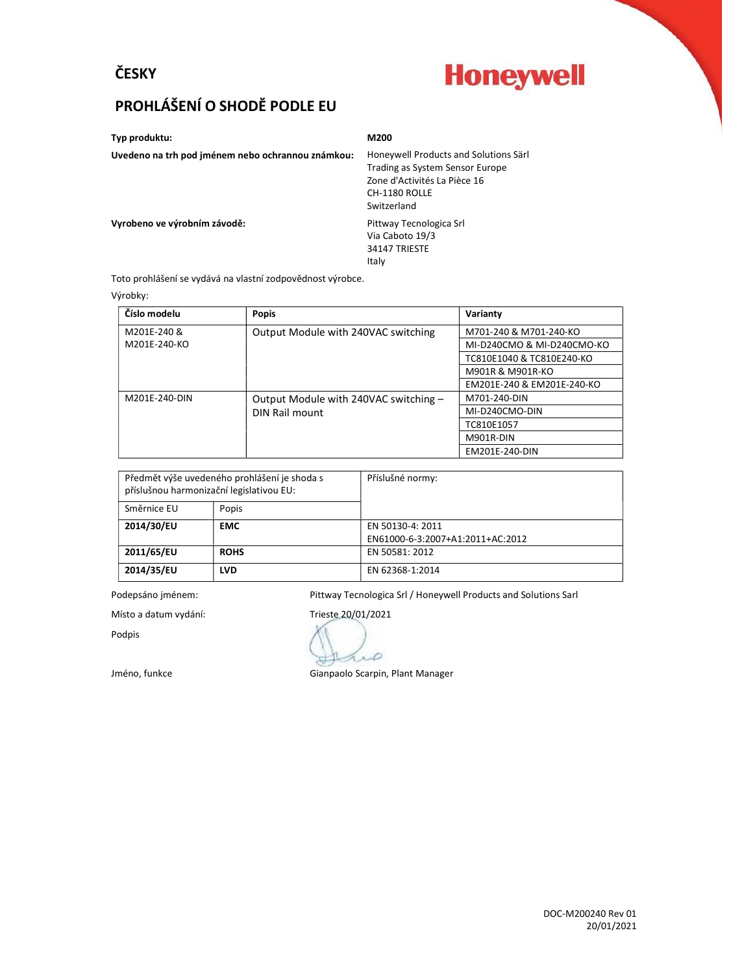## ČESKY

# **Honeywell**

# PROHLÁŠENÍ O SHODĔ PODLE EU

Typ produktu: M200

Uvedeno na trh pod jménem nebo ochrannou známkou: Honeywell Products and Solutions Särl

Trading as System Sensor Europe Zone d'Activités La Pièce 16 CH-1180 ROLLE Switzerland

Vyrobeno ve výrobním závodě:<br>
Pittway Tecnologica Srl

Via Caboto 19/3 34147 TRIESTE Italy

Toto prohlášení se vydává na vlastní zodpovědnost výrobce.

#### Výrobky:

| Číslo modelu  | Popis                                 | Varianty                   |
|---------------|---------------------------------------|----------------------------|
| M201E-240 &   | Output Module with 240VAC switching   | M701-240 & M701-240-KO     |
| M201E-240-KO  |                                       | MI-D240CMO & MI-D240CMO-KO |
|               |                                       | TC810E1040 & TC810E240-KO  |
|               |                                       | M901R & M901R-KO           |
|               |                                       | EM201E-240 & EM201E-240-KO |
| M201E-240-DIN | Output Module with 240VAC switching - | M701-240-DIN               |
|               | DIN Rail mount                        | MI-D240CMO-DIN             |
|               |                                       | TC810E1057                 |
|               |                                       | M901R-DIN                  |
|               |                                       | EM201E-240-DIN             |

| Předmět výše uvedeného prohlášení je shoda s<br>příslušnou harmonizační legislativou EU: |             | Příslušné normy:                 |
|------------------------------------------------------------------------------------------|-------------|----------------------------------|
| Směrnice EU                                                                              | Popis       |                                  |
| 2014/30/EU                                                                               | <b>EMC</b>  | EN 50130-4: 2011                 |
|                                                                                          |             | EN61000-6-3:2007+A1:2011+AC:2012 |
| 2011/65/EU                                                                               | <b>ROHS</b> | EN 50581: 2012                   |
| 2014/35/EU                                                                               | <b>LVD</b>  | EN 62368-1:2014                  |

Podepsáno jménem: Pittway Tecnologica Srl / Honeywell Products and Solutions Sarl

Místo a datum vydání: Trieste 20/01/2021

Podpis

D

Jméno, funkce **Gianpaolo Scarpin**, Plant Manager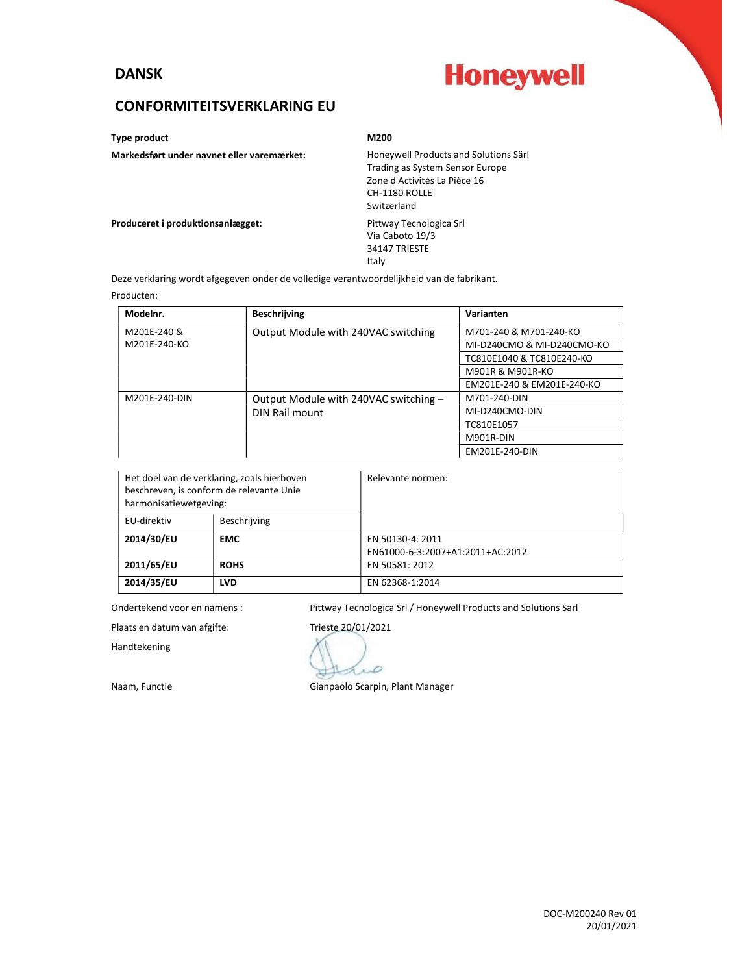### DANSK

# **Honeywell**

### CONFORMITEITSVERKLARING EU

Type product and a material material of the M200 M200

#### Markedsført under navnet eller varemærket: Honeywell Products and Solutions Särl

## Trading as System Sensor Europe Zone d'Activités La Pièce 16 CH-1180 ROLLE Switzerland Via Caboto 19/3

Produceret i produktionsanlægget: Pittway Tecnologica Srl

34147 TRIESTE Italy

Deze verklaring wordt afgegeven onder de volledige verantwoordelijkheid van de fabrikant.

#### Producten:

| Modelnr.      | <b>Beschrijving</b>                   | Varianten                  |
|---------------|---------------------------------------|----------------------------|
| M201E-240 &   | Output Module with 240VAC switching   | M701-240 & M701-240-KO     |
| M201E-240-KO  |                                       | MI-D240CMO & MI-D240CMO-KO |
|               |                                       | TC810E1040 & TC810E240-KO  |
|               |                                       | M901R & M901R-KO           |
|               |                                       | EM201E-240 & EM201E-240-KO |
| M201E-240-DIN | Output Module with 240VAC switching - | M701-240-DIN               |
|               | DIN Rail mount                        | MI-D240CMO-DIN             |
|               |                                       | TC810E1057                 |
|               |                                       | M901R-DIN                  |
|               |                                       | EM201E-240-DIN             |

| Het doel van de verklaring, zoals hierboven<br>beschreven, is conform de relevante Unie<br>harmonisatiewetgeving: |              | Relevante normen:                |
|-------------------------------------------------------------------------------------------------------------------|--------------|----------------------------------|
| EU-direktiv                                                                                                       | Beschrijving |                                  |
| 2014/30/EU                                                                                                        | <b>EMC</b>   | EN 50130-4: 2011                 |
|                                                                                                                   |              | EN61000-6-3:2007+A1:2011+AC:2012 |
| 2011/65/EU                                                                                                        | <b>ROHS</b>  | EN 50581: 2012                   |
| 2014/35/EU                                                                                                        | <b>LVD</b>   | EN 62368-1:2014                  |

Ondertekend voor en namens : Pittway Tecnologica Srl / Honeywell Products and Solutions Sarl

Plaats en datum van afgifte: Trieste 20/01/2021

Handtekening

D

Naam, Functie Gianpaolo Scarpin, Plant Manager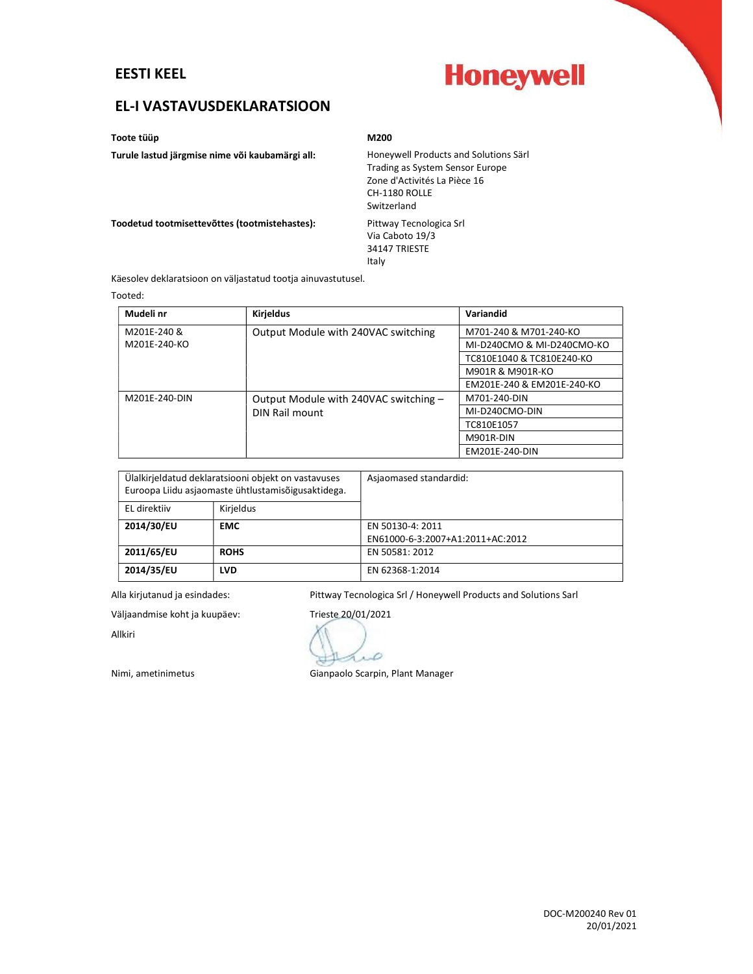### EESTI KEEL



## EL-I VASTAVUSDEKLARATSIOON

Toote tüüp alana kooste tüüp miselt alana kooste miselt alana miselt alana miselt alana miselt alana miselt ala

#### Turule lastud järgmise nime või kaubamärgi all: Honeywell Products and Solutions Särl

Trading as System Sensor Europe Zone d'Activités La Pièce 16

CH-1180 ROLLE Switzerland

Via Caboto 19/3

Toodetud tootmisettevõttes (tootmistehastes): Pittway Tecnologica Srl

34147 TRIESTE Italy

Käesolev deklaratsioon on väljastatud tootja ainuvastutusel.

#### Tooted:

| Mudeli nr     | <b>Kirjeldus</b>                      | <b>Variandid</b>           |
|---------------|---------------------------------------|----------------------------|
| M201E-240 &   | Output Module with 240VAC switching   | M701-240 & M701-240-KO     |
| M201E-240-KO  |                                       | MI-D240CMO & MI-D240CMO-KO |
|               |                                       | TC810E1040 & TC810E240-KO  |
|               |                                       | M901R & M901R-KO           |
|               |                                       | EM201E-240 & EM201E-240-KO |
| M201E-240-DIN | Output Module with 240VAC switching - | M701-240-DIN               |
|               | DIN Rail mount                        | MI-D240CMO-DIN             |
|               |                                       | TC810E1057                 |
|               |                                       | M901R-DIN                  |
|               |                                       | EM201E-240-DIN             |

| Ülalkirjeldatud deklaratsiooni objekt on vastavuses<br>Euroopa Liidu asjaomaste ühtlustamisõigusaktidega. |             | Asjaomased standardid:           |
|-----------------------------------------------------------------------------------------------------------|-------------|----------------------------------|
| EL direktiiv                                                                                              | Kirjeldus   |                                  |
| 2014/30/EU                                                                                                | <b>EMC</b>  | EN 50130-4: 2011                 |
|                                                                                                           |             | EN61000-6-3:2007+A1:2011+AC:2012 |
| 2011/65/EU                                                                                                | <b>ROHS</b> | EN 50581: 2012                   |
| 2014/35/EU                                                                                                | <b>LVD</b>  | EN 62368-1:2014                  |

Alla kirjutanud ja esindades: Pittway Tecnologica Srl / Honeywell Products and Solutions Sarl

Väljaandmise koht ja kuupäev: Trieste 20/01/2021

Allkiri

D Nimi, ametinimetus Gianpaolo Scarpin, Plant Manager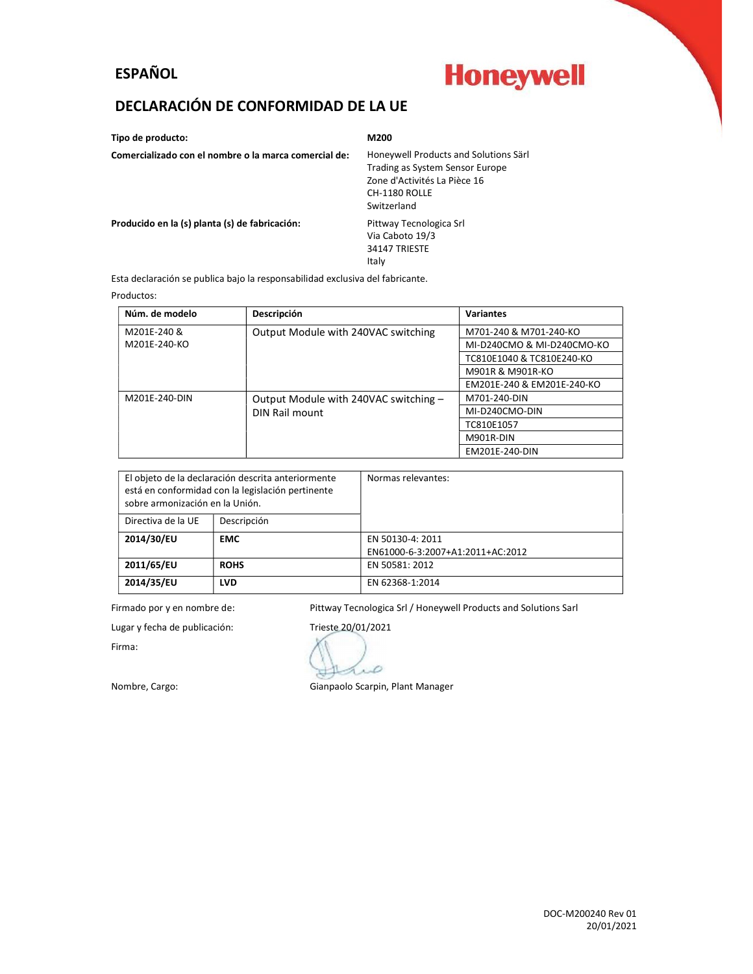## ESPAÑOL

# **Honeywell**

## DECLARACIÓN DE CONFORMIDAD DE LA UE

Tipo de producto: M200 Comercializado con el nombre o la marca comercial de: Honeywell Products and Solutions Särl Trading as System Sensor Europe Zone d'Activités La Pièce 16 CH-1180 ROLLE Switzerland Producido en la (s) planta (s) de fabricación: Pittway Tecnologica Srl Via Caboto 19/3 34147 TRIESTE Italy

Esta declaración se publica bajo la responsabilidad exclusiva del fabricante.

#### Productos:

| Núm. de modelo | Descripción                           | <b>Variantes</b>           |
|----------------|---------------------------------------|----------------------------|
| M201E-240 &    | Output Module with 240VAC switching   | M701-240 & M701-240-KO     |
| M201E-240-KO   |                                       | MI-D240CMO & MI-D240CMO-KO |
|                |                                       | TC810E1040 & TC810E240-KO  |
|                |                                       | M901R & M901R-KO           |
|                |                                       | EM201E-240 & EM201E-240-KO |
| M201E-240-DIN  | Output Module with 240VAC switching - | M701-240-DIN               |
|                | DIN Rail mount                        | MI-D240CMO-DIN             |
|                |                                       | TC810E1057                 |
|                |                                       | M901R-DIN                  |
|                |                                       | EM201E-240-DIN             |

| El objeto de la declaración descrita anteriormente<br>está en conformidad con la legislación pertinente<br>sobre armonización en la Unión. |             | Normas relevantes:               |
|--------------------------------------------------------------------------------------------------------------------------------------------|-------------|----------------------------------|
| Directiva de la UE                                                                                                                         | Descripción |                                  |
| 2014/30/EU                                                                                                                                 | <b>EMC</b>  | EN 50130-4: 2011                 |
|                                                                                                                                            |             | EN61000-6-3:2007+A1:2011+AC:2012 |
| 2011/65/EU                                                                                                                                 | <b>ROHS</b> | EN 50581: 2012                   |
| 2014/35/EU                                                                                                                                 | <b>LVD</b>  | EN 62368-1:2014                  |

Firmado por y en nombre de: Pittway Tecnologica Srl / Honeywell Products and Solutions Sarl

Lugar y fecha de publicación: Trieste 20/01/2021

Firma:

D

Nombre, Cargo: Gianpaolo Scarpin, Plant Manager

DOC-M200240 Rev 01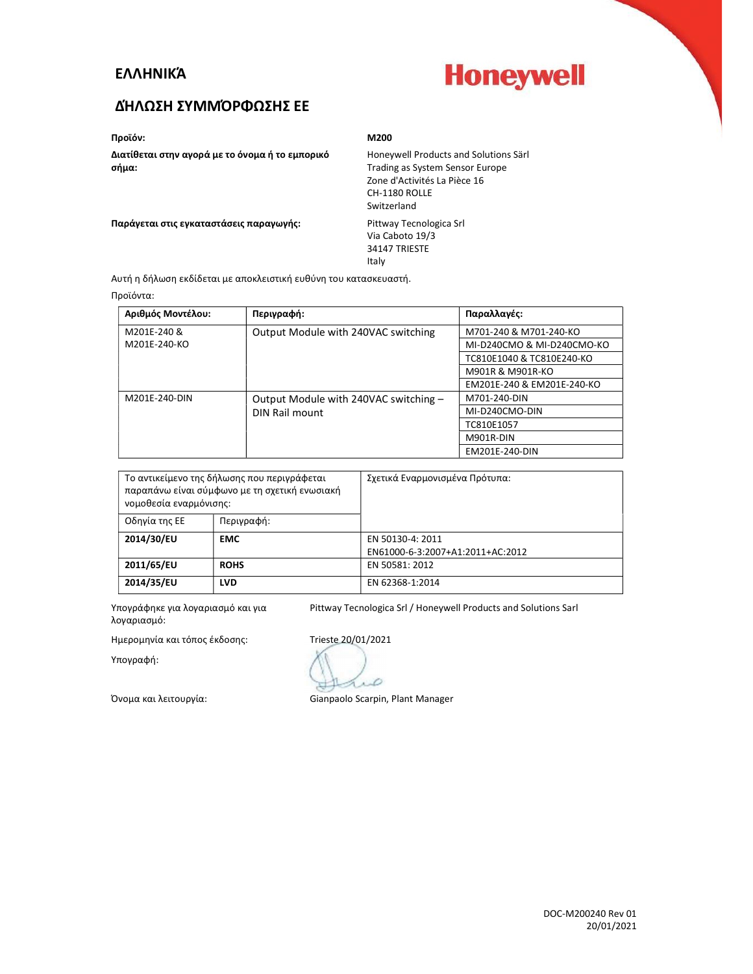### ΕΛΛΗΝΙΚΆ



## ΔΉΛΩΣΗ ΣΥΜΜΌΡΦΩΣΗΣ ΕE

Προϊόν: M200

Διατίθεται στην αγορά με το όνομα ή το εμπορικό σήμα:

Honeywell Products and Solutions Särl Trading as System Sensor Europe Zone d'Activités La Pièce 16 CH-1180 ROLLE Switzerland

Παράγεται στις εγκαταστάσεις παραγωγής: Pittway Tecnologica Srl

Via Caboto 19/3 34147 TRIESTE Italy

Αυτή η δήλωση εκδίδεται με αποκλειστική ευθύνη του κατασκευαστή.

#### Προϊόντα:

| Αριθμός Μοντέλου: | Περιγραφή:                            | Παραλλαγές:                |
|-------------------|---------------------------------------|----------------------------|
| M201E-240 &       | Output Module with 240VAC switching   | M701-240 & M701-240-KO     |
| M201E-240-KO      |                                       | MI-D240CMO & MI-D240CMO-KO |
|                   |                                       | TC810E1040 & TC810E240-KO  |
|                   |                                       | M901R & M901R-KO           |
|                   |                                       | EM201E-240 & EM201E-240-KO |
| M201E-240-DIN     | Output Module with 240VAC switching - | M701-240-DIN               |
|                   | DIN Rail mount                        | MI-D240CMO-DIN             |
|                   |                                       | TC810E1057                 |
|                   |                                       | M901R-DIN                  |
|                   |                                       | EM201E-240-DIN             |

| Το αντικείμενο της δήλωσης που περιγράφεται<br>παραπάνω είναι σύμφωνο με τη σχετική ενωσιακή<br>νομοθεσία εναρμόνισης: |             | Σχετικά Εναρμονισμένα Πρότυπα:   |
|------------------------------------------------------------------------------------------------------------------------|-------------|----------------------------------|
| Οδηγία της ΕΕ                                                                                                          | Περιγραφή:  |                                  |
| 2014/30/EU                                                                                                             | <b>EMC</b>  | EN 50130-4: 2011                 |
|                                                                                                                        |             | EN61000-6-3:2007+A1:2011+AC:2012 |
| 2011/65/EU                                                                                                             | <b>ROHS</b> | EN 50581: 2012                   |
| 2014/35/EU                                                                                                             | <b>LVD</b>  | EN 62368-1:2014                  |

Υπογράφηκε για λογαριασμό και για λογαριασμό: Pittway Tecnologica Srl / Honeywell Products and Solutions Sarl

Ημερομηνία και τόπος έκδοσης: Trieste 20/01/2021

Υπογραφή:

D

Όνομα και λειτουργία: Gianpaolo Scarpin, Plant Manager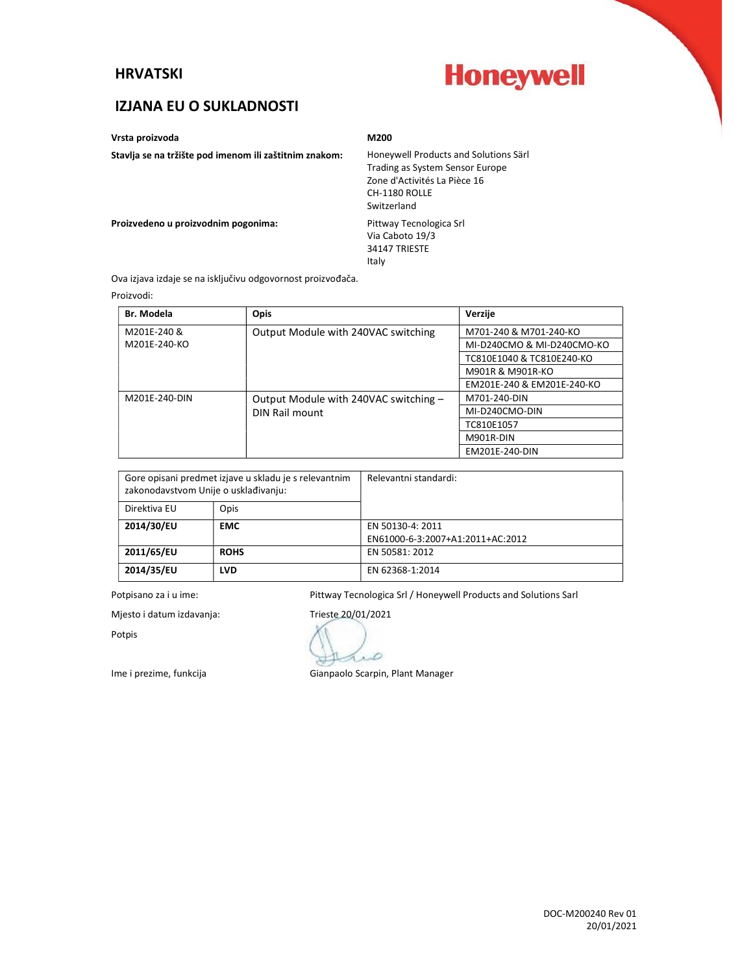#### HRVATSKI

# **Honeywell**

## IZJANA EU O SUKLADNOSTI

Vrsta proizvoda M200

Stavlja se na tržište pod imenom ili zaštitnim znakom: Honeywell Products and Solutions Särl

Trading as System Sensor Europe Zone d'Activités La Pièce 16 CH-1180 ROLLE Switzerland

Proizvedeno u proizvodnim pogonima: Pittway Tecnologica Srl

Via Caboto 19/3 34147 TRIESTE Italy

Ova izjava izdaje se na isključivu odgovornost proizvođača.

Proizvodi:

| <b>Br. Modela</b> | Opis                                  | Verzije                    |
|-------------------|---------------------------------------|----------------------------|
| M201E-240 &       | Output Module with 240VAC switching   | M701-240 & M701-240-KO     |
| M201E-240-KO      |                                       | MI-D240CMO & MI-D240CMO-KO |
|                   |                                       | TC810E1040 & TC810E240-KO  |
|                   |                                       | M901R & M901R-KO           |
|                   |                                       | EM201E-240 & EM201E-240-KO |
| M201E-240-DIN     | Output Module with 240VAC switching - | M701-240-DIN               |
|                   | DIN Rail mount                        | MI-D240CMO-DIN             |
|                   |                                       | TC810E1057                 |
|                   |                                       | M901R-DIN                  |
|                   |                                       | EM201E-240-DIN             |

| Gore opisani predmet izjave u skladu je s relevantnim<br>zakonodavstvom Unije o usklađivanju: |             | Relevantni standardi:            |
|-----------------------------------------------------------------------------------------------|-------------|----------------------------------|
| Direktiva EU                                                                                  | Opis        |                                  |
| 2014/30/EU                                                                                    | <b>EMC</b>  | EN 50130-4: 2011                 |
|                                                                                               |             | EN61000-6-3:2007+A1:2011+AC:2012 |
| 2011/65/EU                                                                                    | <b>ROHS</b> | EN 50581: 2012                   |
| 2014/35/EU                                                                                    | <b>LVD</b>  | EN 62368-1:2014                  |

Potpisano za i u ime: <br>Pittway Tecnologica Srl / Honeywell Products and Solutions Sarl

Mjesto i datum izdavanja: Trieste 20/01/2021

Potpis

D

Ime i prezime, funkcija Gianpaolo Scarpin, Plant Manager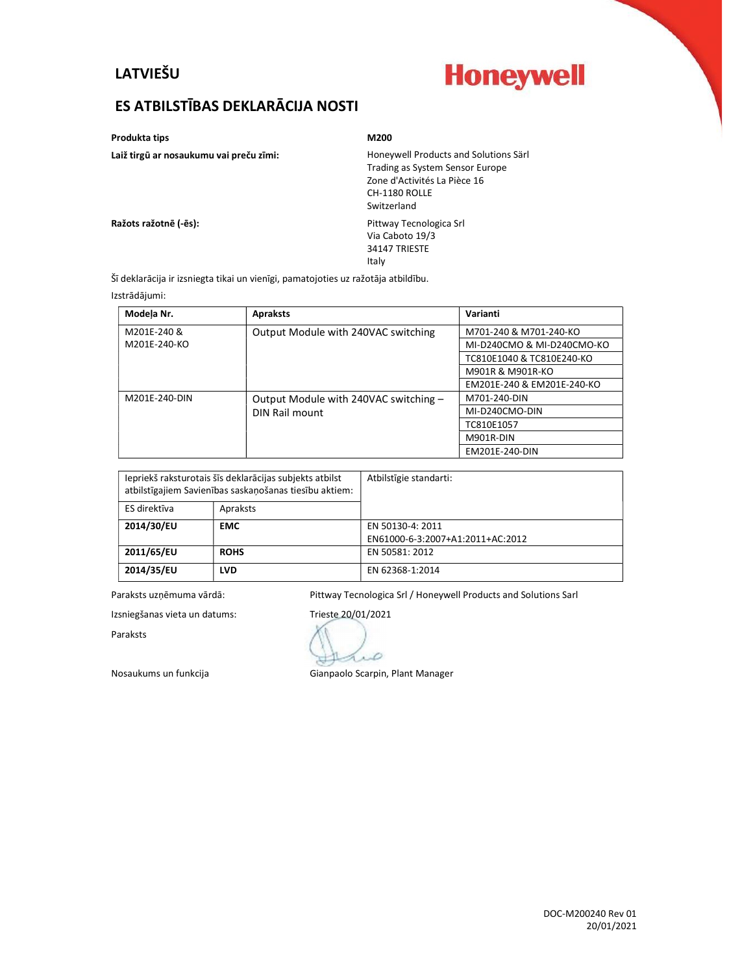## LATVIEŠU



# ES ATBILSTĪBAS DEKLARĀCIJA NOSTI

Produkta tips M200

Laiž tirgū ar nosaukumu vai preču zīmi: Honeywell Products and Solutions Särl Trading as System Sensor Europe Zone d'Activités La Pièce 16 CH-1180 ROLLE Switzerland

Ražots ražotnē (-ēs): Pittway Tecnologica Srl

Via Caboto 19/3 34147 TRIESTE Italy

Šī deklarācija ir izsniegta tikai un vienīgi, pamatojoties uz ražotāja atbildību.

#### Izstrādājumi:

| Modela Nr.    | <b>Apraksts</b>                       | Varianti                   |
|---------------|---------------------------------------|----------------------------|
| M201E-240 &   | Output Module with 240VAC switching   | M701-240 & M701-240-KO     |
| M201E-240-KO  |                                       | MI-D240CMO & MI-D240CMO-KO |
|               |                                       | TC810E1040 & TC810E240-KO  |
|               |                                       | M901R & M901R-KO           |
|               |                                       | EM201E-240 & EM201E-240-KO |
| M201E-240-DIN | Output Module with 240VAC switching - | M701-240-DIN               |
|               | DIN Rail mount                        | MI-D240CMO-DIN             |
|               |                                       | TC810E1057                 |
|               |                                       | M901R-DIN                  |
|               |                                       | EM201E-240-DIN             |

| Iepriekš raksturotais šīs deklarācijas subjekts atbilst<br>atbilstīgajiem Savienības saskanošanas tiesību aktiem: |             | Atbilstīgie standarti:           |
|-------------------------------------------------------------------------------------------------------------------|-------------|----------------------------------|
| ES direktīva                                                                                                      | Apraksts    |                                  |
| 2014/30/EU                                                                                                        | <b>EMC</b>  | EN 50130-4: 2011                 |
|                                                                                                                   |             | EN61000-6-3:2007+A1:2011+AC:2012 |
| 2011/65/EU                                                                                                        | <b>ROHS</b> | EN 50581: 2012                   |
| 2014/35/EU                                                                                                        | <b>LVD</b>  | EN 62368-1:2014                  |

Paraksts uzņēmuma vārdā: Pittway Tecnologica Srl / Honeywell Products and Solutions Sarl

Izsniegšanas vieta un datums: Trieste 20/01/2021

Paraksts

D

Nosaukums un funkcija eta alian mendekali Gianpaolo Scarpin, Plant Manager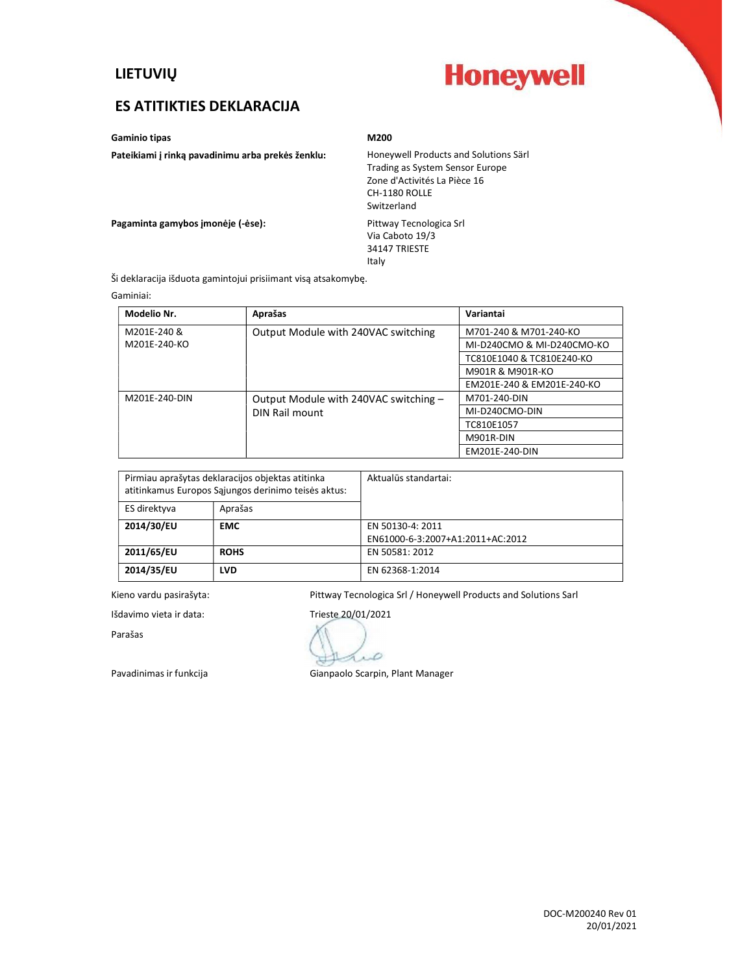

## ES ATITIKTIES DEKLARACIJA

Gaminio tipas M200

Pateikiami į rinką pavadinimu arba prekės ženklu: Honeywell Products and Solutions Särl

Trading as System Sensor Europe Zone d'Activités La Pièce 16 CH-1180 ROLLE Switzerland

Pagaminta gamybos įmonėje (-ėse): Pittway Tecnologica Srl

Via Caboto 19/3 34147 TRIESTE Italy

Ši deklaracija išduota gamintojui prisiimant visą atsakomybę.

Gaminiai:

| Modelio Nr.   | Aprašas                               | Variantai                  |
|---------------|---------------------------------------|----------------------------|
| M201E-240 &   | Output Module with 240VAC switching   | M701-240 & M701-240-KO     |
| M201E-240-KO  |                                       | MI-D240CMO & MI-D240CMO-KO |
|               |                                       | TC810E1040 & TC810E240-KO  |
|               |                                       | M901R & M901R-KO           |
|               |                                       | EM201E-240 & EM201E-240-KO |
| M201E-240-DIN | Output Module with 240VAC switching - | M701-240-DIN               |
|               | DIN Rail mount                        | MI-D240CMO-DIN             |
|               |                                       | TC810E1057                 |
|               |                                       | M901R-DIN                  |
|               |                                       | EM201E-240-DIN             |

| Pirmiau aprašytas deklaracijos objektas atitinka<br>atitinkamus Europos Sąjungos derinimo teisės aktus: |             | Aktualūs standartai:             |
|---------------------------------------------------------------------------------------------------------|-------------|----------------------------------|
| ES direktyva                                                                                            | Aprašas     |                                  |
| 2014/30/EU                                                                                              | <b>EMC</b>  | EN 50130-4: 2011                 |
|                                                                                                         |             | EN61000-6-3:2007+A1:2011+AC:2012 |
| 2011/65/EU                                                                                              | <b>ROHS</b> | EN 50581: 2012                   |
| 2014/35/EU                                                                                              | <b>LVD</b>  | EN 62368-1:2014                  |

Kieno vardu pasirašyta: Pittway Tecnologica Srl / Honeywell Products and Solutions Sarl

Išdavimo vieta ir data: Trieste 20/01/2021

Parašas

D

Pavadinimas ir funkcija varstumas ir funkcija varstumas Gianpaolo Scarpin, Plant Manager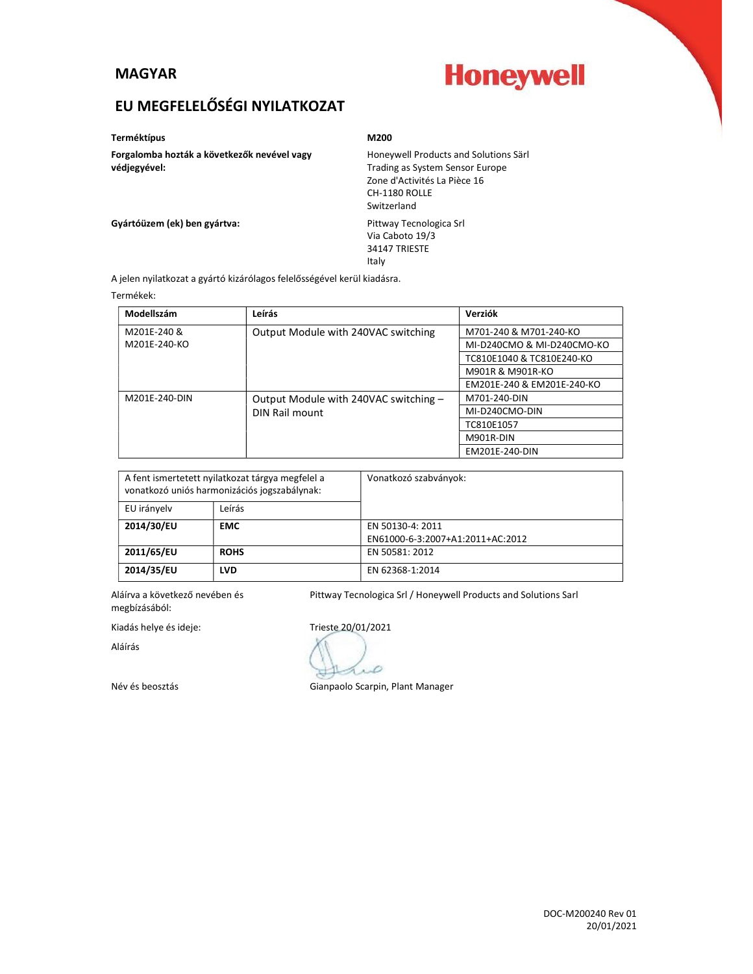### MAGYAR

# **Honeywell**

# EU MEGFELELŐSÉGI NYILATKOZAT

Terméktípus **M200** 

Forgalomba hozták a következők nevével vagy védjegyével:

Honeywell Products and Solutions Särl Trading as System Sensor Europe Zone d'Activités La Pièce 16 CH-1180 ROLLE Switzerland

Gyártóüzem (ek) ben gyártva: **America State State Contracts** Pittway Tecnologica Srl

Via Caboto 19/3 34147 TRIESTE Italy

A jelen nyilatkozat a gyártó kizárólagos felelősségével kerül kiadásra.

Termékek:

| Modellszám    | Leírás                                | Verziók                    |
|---------------|---------------------------------------|----------------------------|
| M201E-240 &   | Output Module with 240VAC switching   | M701-240 & M701-240-KO     |
| M201E-240-KO  |                                       | MI-D240CMO & MI-D240CMO-KO |
|               |                                       | TC810E1040 & TC810E240-KO  |
|               |                                       | M901R & M901R-KO           |
|               |                                       | EM201E-240 & EM201E-240-KO |
| M201E-240-DIN | Output Module with 240VAC switching - | M701-240-DIN               |
|               | DIN Rail mount                        | MI-D240CMO-DIN             |
|               |                                       | TC810E1057                 |
|               |                                       | M901R-DIN                  |
|               |                                       | EM201E-240-DIN             |

| A fent ismertetett nyilatkozat tárgya megfelel a<br>vonatkozó uniós harmonizációs jogszabálynak: |             | Vonatkozó szabványok:            |
|--------------------------------------------------------------------------------------------------|-------------|----------------------------------|
| EU irányelv                                                                                      | Leírás      |                                  |
| 2014/30/EU                                                                                       | <b>EMC</b>  | EN 50130-4: 2011                 |
|                                                                                                  |             | EN61000-6-3:2007+A1:2011+AC:2012 |
| 2011/65/EU                                                                                       | <b>ROHS</b> | EN 50581: 2012                   |
| 2014/35/EU                                                                                       | <b>LVD</b>  | EN 62368-1:2014                  |

Aláírva a következő nevében és megbízásából:

Kiadás helye és ideje: Trieste 20/01/2021

Aláírás

Pittway Tecnologica Srl / Honeywell Products and Solutions Sarl

Ď

Név és beosztás Gianpaolo Scarpin, Plant Manager

DOC-M200240 Rev 01 20/01/2021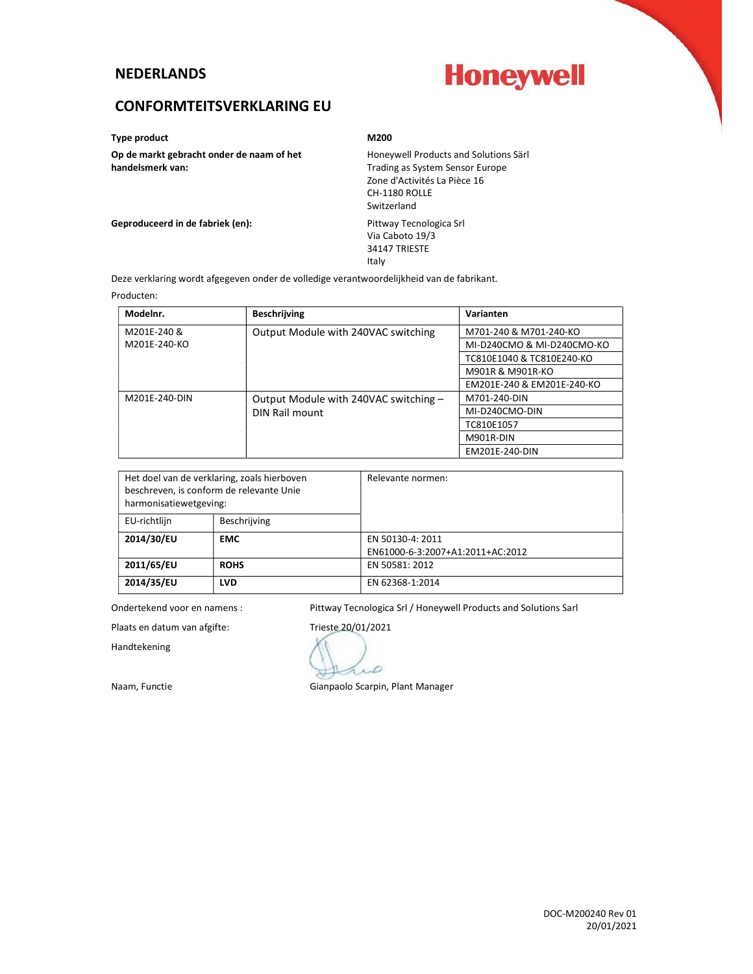#### **NEDERLANDS**

# **Honeywell**

## CONFORMTEITSVERKLARING EU

Type product and a material material of the M200 M200

Op de markt gebracht onder de naam of het handelsmerk van:

Honeywell Products and Solutions Särl Trading as System Sensor Europe Zone d'Activités La Pièce 16 CH-1180 ROLLE Switzerland

Geproduceerd in de fabriek (en): entity and the Pittway Tecnologica Srl

Via Caboto 19/3 34147 TRIESTE Italy

Deze verklaring wordt afgegeven onder de volledige verantwoordelijkheid van de fabrikant.

#### Producten:

| Modelnr.      | <b>Beschrijving</b>                   | Varianten                  |
|---------------|---------------------------------------|----------------------------|
| M201E-240 &   | Output Module with 240VAC switching   | M701-240 & M701-240-KO     |
| M201E-240-KO  |                                       | MI-D240CMO & MI-D240CMO-KO |
|               |                                       | TC810E1040 & TC810E240-KO  |
|               |                                       | M901R & M901R-KO           |
|               |                                       | EM201E-240 & EM201E-240-KO |
| M201E-240-DIN | Output Module with 240VAC switching - | M701-240-DIN               |
|               | DIN Rail mount                        | MI-D240CMO-DIN             |
|               |                                       | TC810E1057                 |
|               |                                       | M901R-DIN                  |
|               |                                       | EM201E-240-DIN             |

| beschreven, is conform de relevante Unie<br>harmonisatiewetgeving: | Het doel van de verklaring, zoals hierboven | Relevante normen:                |
|--------------------------------------------------------------------|---------------------------------------------|----------------------------------|
| EU-richtlijn                                                       | Beschrijving                                |                                  |
| 2014/30/EU                                                         | <b>EMC</b>                                  | EN 50130-4: 2011                 |
|                                                                    |                                             | EN61000-6-3:2007+A1:2011+AC:2012 |
| 2011/65/EU                                                         | <b>ROHS</b>                                 | EN 50581: 2012                   |
| 2014/35/EU                                                         | <b>LVD</b>                                  | EN 62368-1:2014                  |

Ondertekend voor en namens : Pittway Tecnologica Srl / Honeywell Products and Solutions Sarl

Plaats en datum van afgifte: Trieste 20/01/2021

Handtekening

D

Naam, Functie Gianpaolo Scarpin, Plant Manager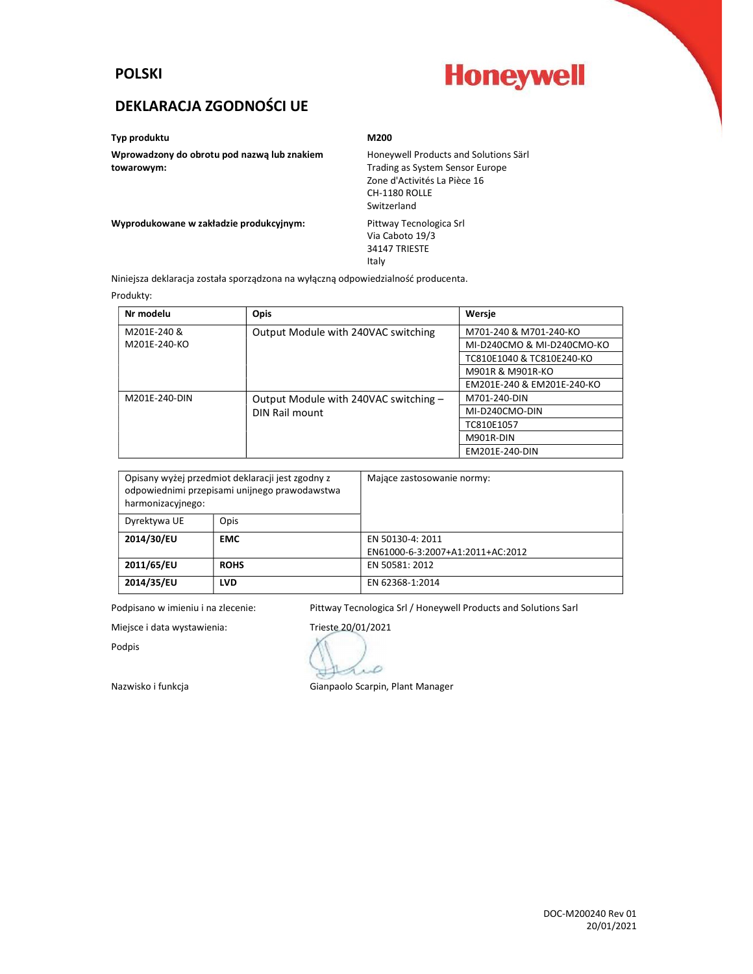### POLSKI



## DEKLARACJA ZGODNOŚCI UE

#### Typ produktu M200

Wprowadzony do obrotu pod nazwą lub znakiem towarowym:

Honeywell Products and Solutions Särl Trading as System Sensor Europe Zone d'Activités La Pièce 16 CH-1180 ROLLE Switzerland

Wyprodukowane w zakładzie produkcyjnym: Pittway Tecnologica Srl

Via Caboto 19/3 34147 TRIESTE Italy

Niniejsza deklaracja została sporządzona na wyłączną odpowiedzialność producenta.

#### Produkty:

| Nr modelu     | <b>Opis</b>                           | Wersje                     |
|---------------|---------------------------------------|----------------------------|
| M201E-240 &   | Output Module with 240VAC switching   | M701-240 & M701-240-KO     |
| M201E-240-KO  |                                       | MI-D240CMO & MI-D240CMO-KO |
|               |                                       | TC810E1040 & TC810E240-KO  |
|               |                                       | M901R & M901R-KO           |
|               |                                       | EM201E-240 & EM201E-240-KO |
| M201E-240-DIN | Output Module with 240VAC switching - | M701-240-DIN               |
|               | DIN Rail mount                        | MI-D240CMO-DIN             |
|               |                                       | TC810E1057                 |
|               |                                       | M901R-DIN                  |
|               |                                       | EM201E-240-DIN             |

| harmonizacyjnego: | Opisany wyżej przedmiot deklaracji jest zgodny z<br>odpowiednimi przepisami unijnego prawodawstwa | Majace zastosowanie normy:       |
|-------------------|---------------------------------------------------------------------------------------------------|----------------------------------|
| Dyrektywa UE      | Opis                                                                                              |                                  |
| 2014/30/EU        | <b>EMC</b>                                                                                        | EN 50130-4: 2011                 |
|                   |                                                                                                   | EN61000-6-3:2007+A1:2011+AC:2012 |
| 2011/65/EU        | <b>ROHS</b>                                                                                       | EN 50581: 2012                   |
| 2014/35/EU        | <b>LVD</b>                                                                                        | EN 62368-1:2014                  |

Podpisano w imieniu i na zlecenie: Pittway Tecnologica Srl / Honeywell Products and Solutions Sarl

Podpis

Miejsce i data wystawienia: Trieste 20/01/2021 D

Nazwisko i funkcja Gianpaolo Scarpin, Plant Manager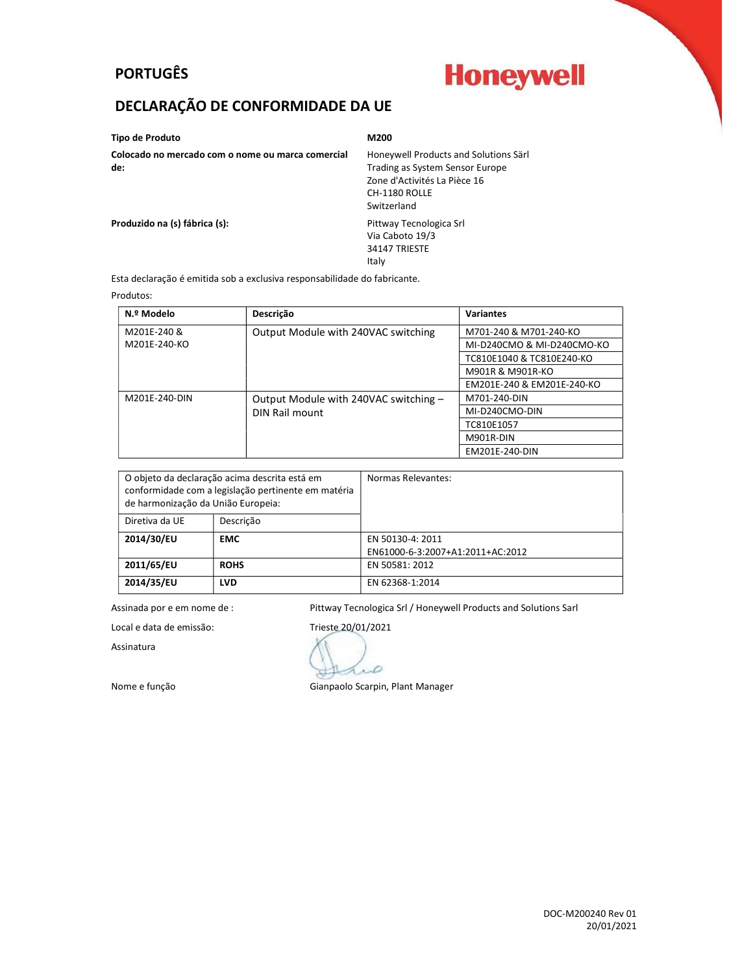# PORTUGÊS

# **Honeywell**

# DECLARAÇÃO DE CONFORMIDADE DA UE

| Tipo de Produto                                          | M200                                                                     |
|----------------------------------------------------------|--------------------------------------------------------------------------|
| Colocado no mercado com o nome ou marca comercial<br>de: | Honeywell Products and Solutions Särl<br>Trading as System Sensor Europe |
|                                                          | Zone d'Activités La Pièce 16<br>CH-1180 ROLLE<br>Switzerland             |
| Produzido na (s) fábrica (s):                            | Pittway Tecnologica Srl<br>Via Caboto 19/3<br>34147 TRIESTE              |

Esta declaração é emitida sob a exclusiva responsabilidade do fabricante.

#### Produtos:

| N.º Modelo    | Descrição                             | <b>Variantes</b>           |
|---------------|---------------------------------------|----------------------------|
| M201E-240 &   | Output Module with 240VAC switching   | M701-240 & M701-240-KO     |
| M201E-240-KO  |                                       | MI-D240CMO & MI-D240CMO-KO |
|               |                                       | TC810E1040 & TC810E240-KO  |
|               |                                       | M901R & M901R-KO           |
|               |                                       | EM201E-240 & EM201E-240-KO |
| M201E-240-DIN | Output Module with 240VAC switching - | M701-240-DIN               |
|               | DIN Rail mount                        | MI-D240CMO-DIN             |
|               |                                       | TC810E1057                 |
|               |                                       | M901R-DIN                  |
|               |                                       | EM201E-240-DIN             |

Italy

| de harmonização da União Europeia: | O objeto da declaração acima descrita está em<br>conformidade com a legislação pertinente em matéria | Normas Relevantes:               |
|------------------------------------|------------------------------------------------------------------------------------------------------|----------------------------------|
| Diretiva da UE                     | Descrição                                                                                            |                                  |
| 2014/30/EU                         | <b>EMC</b>                                                                                           | EN 50130-4: 2011                 |
|                                    |                                                                                                      | EN61000-6-3:2007+A1:2011+AC:2012 |
| 2011/65/EU                         | <b>ROHS</b>                                                                                          | EN 50581: 2012                   |
| 2014/35/EU                         | <b>LVD</b>                                                                                           | EN 62368-1:2014                  |

Assinada por e em nome de : Pittway Tecnologica Srl / Honeywell Products and Solutions Sarl

Assinatura

Local e data de emissão: Trieste 20/01/2021 D

Nome e função **Gianpaolo Scarpin, Plant Manager**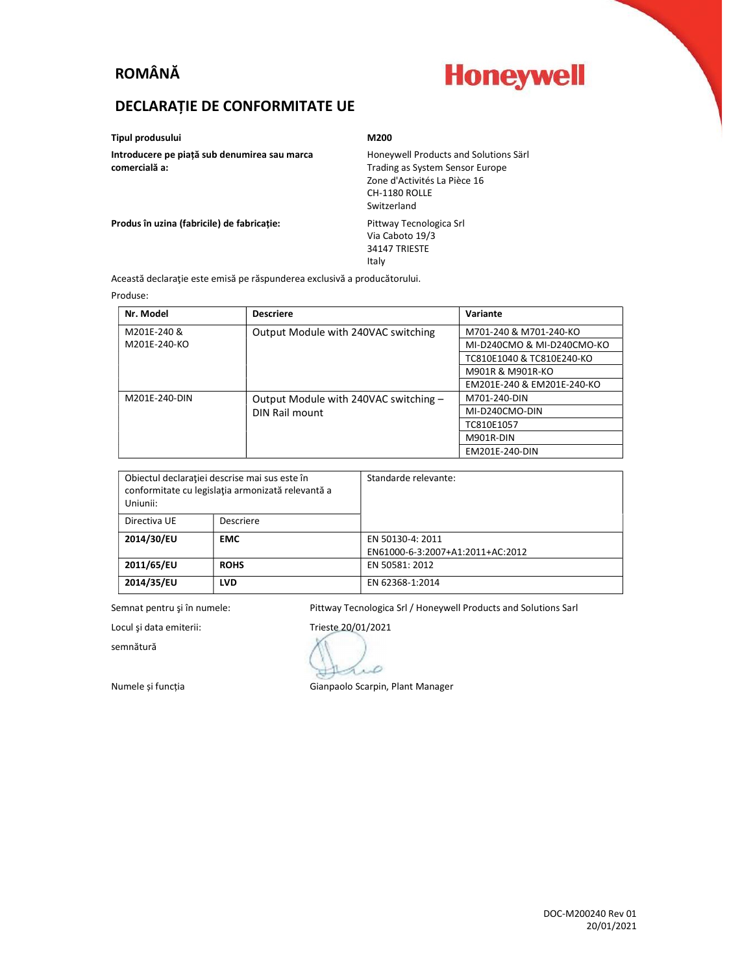# ROMÂNĂ

# **Honeywell**

## DECLARAȚIE DE CONFORMITATE UE

Tipul produsului M200

Introducere pe piață sub denumirea sau marca comercială a:

Honeywell Products and Solutions Särl Trading as System Sensor Europe Zone d'Activités La Pièce 16 CH-1180 ROLLE Switzerland

Produs în uzina (fabricile) de fabricație: Pittway Tecnologica Srl

Via Caboto 19/3 34147 TRIESTE Italy

Această declaraţie este emisă pe răspunderea exclusivă a producătorului.

#### Produse:

| Nr. Model     | <b>Descriere</b>                      | Variante                   |
|---------------|---------------------------------------|----------------------------|
| M201E-240 &   | Output Module with 240VAC switching   | M701-240 & M701-240-KO     |
| M201E-240-KO  |                                       | MI-D240CMO & MI-D240CMO-KO |
|               |                                       | TC810E1040 & TC810E240-KO  |
|               |                                       | M901R & M901R-KO           |
|               |                                       | EM201E-240 & EM201E-240-KO |
| M201E-240-DIN | Output Module with 240VAC switching - | M701-240-DIN               |
|               | DIN Rail mount                        | MI-D240CMO-DIN             |
|               |                                       | TC810E1057                 |
|               |                                       | M901R-DIN                  |
|               |                                       | EM201E-240-DIN             |

| Obiectul declaratiei descrise mai sus este în<br>conformitate cu legislația armonizată relevantă a<br>Uniunii: |             | Standarde relevante:             |
|----------------------------------------------------------------------------------------------------------------|-------------|----------------------------------|
| Directiva UE                                                                                                   | Descriere   |                                  |
| 2014/30/EU                                                                                                     | <b>EMC</b>  | EN 50130-4: 2011                 |
|                                                                                                                |             | EN61000-6-3:2007+A1:2011+AC:2012 |
| 2011/65/EU                                                                                                     | <b>ROHS</b> | EN 50581: 2012                   |
| 2014/35/EU                                                                                                     | <b>LVD</b>  | EN 62368-1:2014                  |

Semnat pentru și în numele: Pittway Tecnologica Srl / Honeywell Products and Solutions Sarl

semnătură

Locul și data emiterii: Trieste 20/01/2021 Ď

Numele și funcția Gianpaolo Scarpin, Plant Manager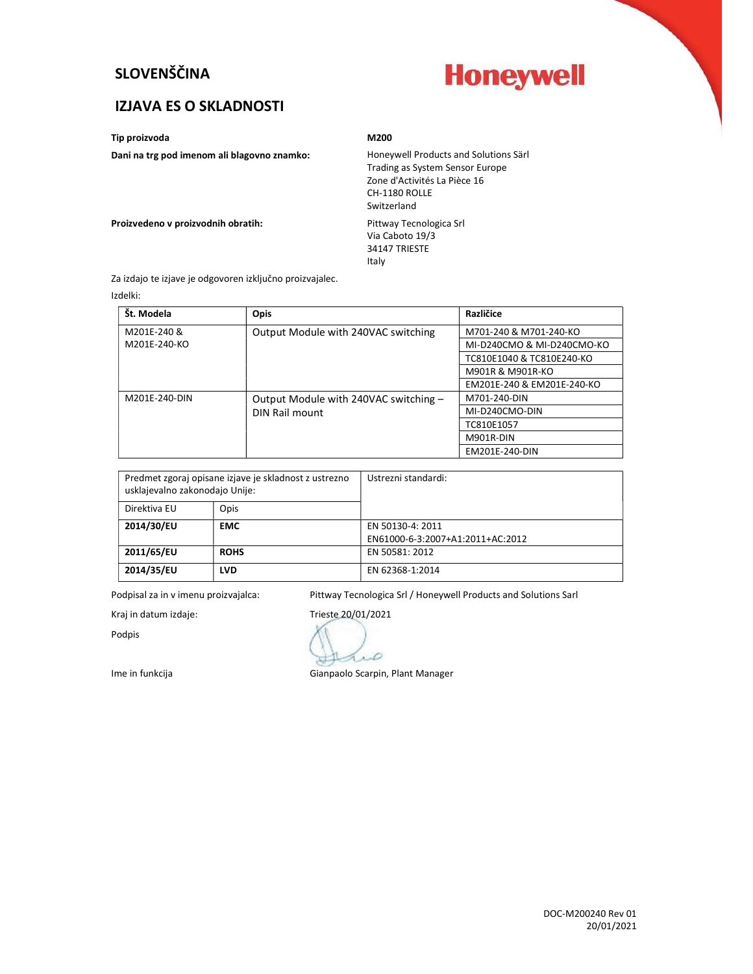## SLOVENŠČINA



### IZJAVA ES O SKLADNOSTI

Tip proizvoda M200

#### Dani na trg pod imenom ali blagovno znamko: Honeywell Products and Solutions Särl

## Trading as System Sensor Europe Zone d'Activités La Pièce 16 CH-1180 ROLLE Switzerland

Proizvedeno v proizvodnih obratih: Pittway Tecnologica Srl

Via Caboto 19/3 34147 TRIESTE Italy

Za izdajo te izjave je odgovoren izključno proizvajalec.

Izdelki:

| Št. Modela    | <b>Opis</b>                           | Različice                  |
|---------------|---------------------------------------|----------------------------|
| M201E-240 &   | Output Module with 240VAC switching   | M701-240 & M701-240-KO     |
| M201E-240-KO  |                                       | MI-D240CMO & MI-D240CMO-KO |
|               |                                       | TC810E1040 & TC810E240-KO  |
|               |                                       | M901R & M901R-KO           |
|               |                                       | EM201E-240 & EM201E-240-KO |
| M201E-240-DIN | Output Module with 240VAC switching - | M701-240-DIN               |
|               | DIN Rail mount                        | MI-D240CMO-DIN             |
|               |                                       | TC810E1057                 |
|               |                                       | M901R-DIN                  |
|               |                                       | EM201E-240-DIN             |

| Predmet zgoraj opisane izjave je skladnost z ustrezno<br>usklajevalno zakonodajo Unije: |             | Ustrezni standardi:              |
|-----------------------------------------------------------------------------------------|-------------|----------------------------------|
| Direktiva EU                                                                            | Opis        |                                  |
| 2014/30/EU                                                                              | <b>EMC</b>  | EN 50130-4: 2011                 |
|                                                                                         |             | EN61000-6-3:2007+A1:2011+AC:2012 |
| 2011/65/EU                                                                              | <b>ROHS</b> | EN 50581: 2012                   |
| 2014/35/EU                                                                              | LVD         | EN 62368-1:2014                  |

Podpisal za in v imenu proizvajalca: Pittway Tecnologica Srl / Honeywell Products and Solutions Sarl

Podpis

Kraj in datum izdaje: Trieste 20/01/2021

D

Ime in funkcija Gianpaolo Scarpin, Plant Manager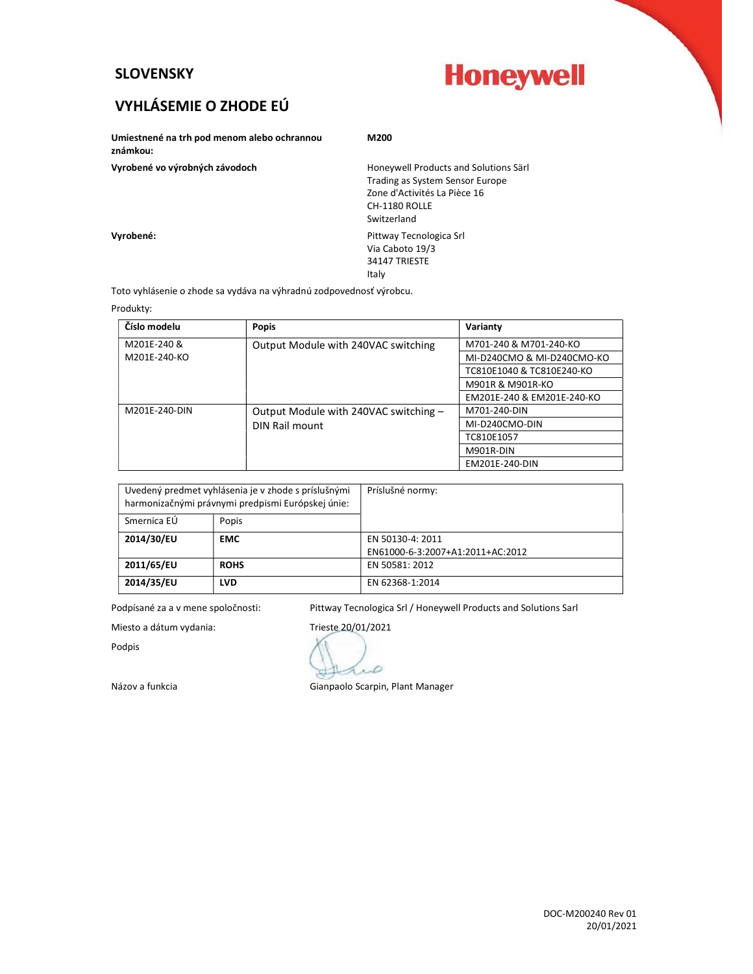### SLOVENSKY



# VYHLÁSEMIE O ZHODE EÚ

| Umiestnené na trh pod menom alebo ochrannou<br>známkou: | M200                                  |  |
|---------------------------------------------------------|---------------------------------------|--|
| Vyrobené vo výrobných závodoch                          | Honeywell Products and Solutions Särl |  |
|                                                         | Trading as System Sensor Europe       |  |
|                                                         | Zone d'Activités La Pièce 16          |  |
|                                                         | CH-1180 ROLLE                         |  |
|                                                         | Switzerland                           |  |
| Vyrobené:                                               | Pittway Tecnologica Srl               |  |
|                                                         | Via Caboto 19/3                       |  |
|                                                         | 34147 TRIESTE                         |  |
|                                                         | Italy                                 |  |

Toto vyhlásenie o zhode sa vydáva na výhradnú zodpovednosť výrobcu.

Produkty:

| Číslo modelu  | <b>Popis</b>                          | Varianty                   |
|---------------|---------------------------------------|----------------------------|
| M201E-240 &   | Output Module with 240VAC switching   | M701-240 & M701-240-KO     |
| M201E-240-KO  |                                       | MI-D240CMO & MI-D240CMO-KO |
|               |                                       | TC810E1040 & TC810E240-KO  |
|               |                                       | M901R & M901R-KO           |
|               |                                       | EM201E-240 & EM201E-240-KO |
| M201E-240-DIN | Output Module with 240VAC switching - | M701-240-DIN               |
|               | DIN Rail mount                        | MI-D240CMO-DIN             |
|               |                                       | TC810E1057                 |
|               |                                       | M901R-DIN                  |
|               |                                       | EM201E-240-DIN             |

| Uvedený predmet vyhlásenia je v zhode s príslušnými<br>harmonizačnými právnymi predpismi Európskej únie: |             | Príslušné normy:                 |
|----------------------------------------------------------------------------------------------------------|-------------|----------------------------------|
| Smernica EÚ                                                                                              | Popis       |                                  |
| 2014/30/EU                                                                                               | <b>EMC</b>  | EN 50130-4: 2011                 |
|                                                                                                          |             | EN61000-6-3:2007+A1:2011+AC:2012 |
| 2011/65/EU                                                                                               | <b>ROHS</b> | EN 50581: 2012                   |
| 2014/35/EU                                                                                               | <b>LVD</b>  | EN 62368-1:2014                  |

Podpísané za a v mene spoločnosti: Pittway Tecnologica Srl / Honeywell Products and Solutions Sarl

Podpis

Miesto a dátum vydania: Trieste 20/01/2021 aro

Názov a funkcia Gianpaolo Scarpin, Plant Manager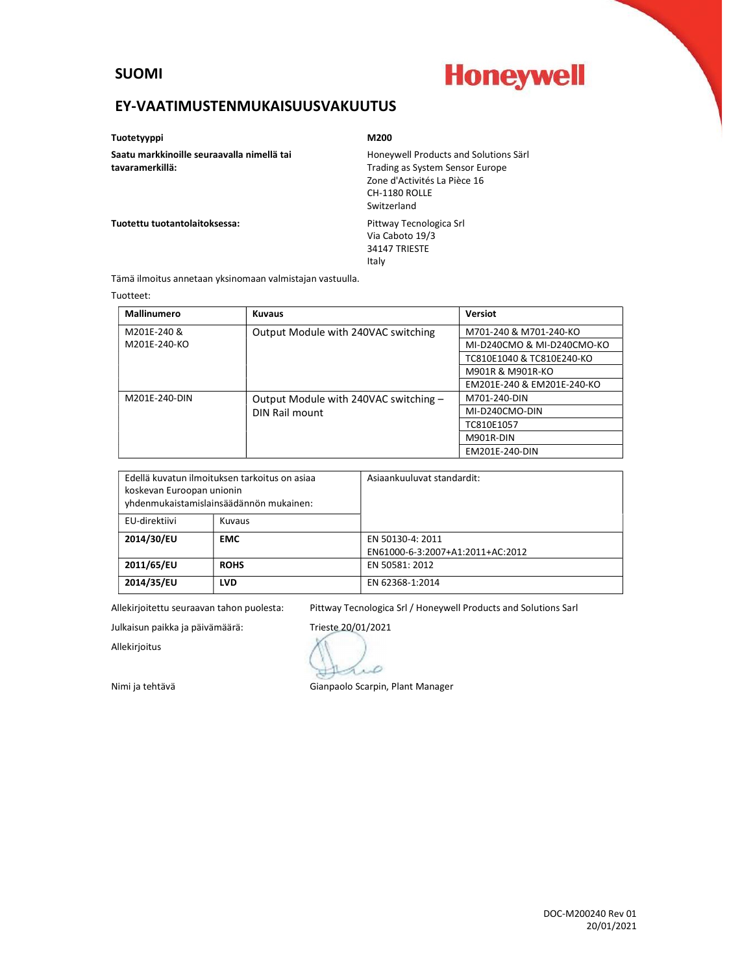#### SUOMI

# **Honeywell**

### EY-VAATIMUSTENMUKAISUUSVAKUUTUS

Tuotetyyppi **M200** 

Saatu markkinoille seuraavalla nimellä tai tavaramerkillä:

Honeywell Products and Solutions Särl Trading as System Sensor Europe Zone d'Activités La Pièce 16 CH-1180 ROLLE Switzerland

Tuotettu tuotantolaitoksessa: varianteessa: Pittway Tecnologica Srl

Via Caboto 19/3 34147 TRIESTE Italy

Tämä ilmoitus annetaan yksinomaan valmistajan vastuulla.

#### Tuotteet:

| Mallinumero   | <b>Kuvaus</b>                         | Versiot                    |
|---------------|---------------------------------------|----------------------------|
| M201E-240 &   | Output Module with 240VAC switching   | M701-240 & M701-240-KO     |
| M201E-240-KO  |                                       | MI-D240CMO & MI-D240CMO-KO |
|               |                                       | TC810E1040 & TC810E240-KO  |
|               |                                       | M901R & M901R-KO           |
|               |                                       | EM201E-240 & EM201E-240-KO |
| M201E-240-DIN | Output Module with 240VAC switching - | M701-240-DIN               |
|               | DIN Rail mount                        | MI-D240CMO-DIN             |
|               |                                       | TC810E1057                 |
|               |                                       | M901R-DIN                  |
|               |                                       | EM201E-240-DIN             |

| Edellä kuvatun ilmoituksen tarkoitus on asiaa<br>koskevan Euroopan unionin<br>yhdenmukaistamislainsäädännön mukainen: |             | Asiaankuuluvat standardit:       |
|-----------------------------------------------------------------------------------------------------------------------|-------------|----------------------------------|
| EU-direktiivi                                                                                                         | Kuvaus      |                                  |
| 2014/30/EU                                                                                                            | <b>EMC</b>  | EN 50130-4: 2011                 |
|                                                                                                                       |             | EN61000-6-3:2007+A1:2011+AC:2012 |
| 2011/65/EU                                                                                                            | <b>ROHS</b> | EN 50581: 2012                   |
| 2014/35/EU                                                                                                            | <b>LVD</b>  | EN 62368-1:2014                  |

Allekirjoitettu seuraavan tahon puolesta: Pittway Tecnologica Srl / Honeywell Products and Solutions Sarl

Julkaisun paikka ja päivämäärä: Trieste 20/01/2021

Allekirjoitus

D

Nimi ja tehtävä Gianpaolo Scarpin, Plant Manager